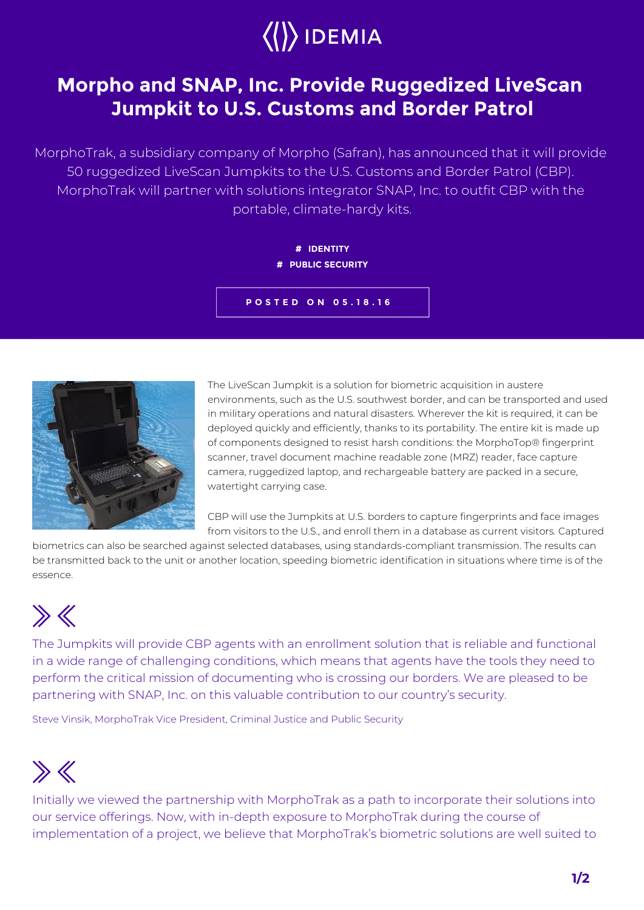![](_page_0_Picture_0.jpeg)

## **Morpho and SNAP, Inc. Provide Ruggedized LiveScan Jumpkit to U.S. Customs and Border Patrol**

MorphoTrak, a subsidiary company of Morpho (Safran), has announced that it will provide 50 ruggedized LiveScan Jumpkits to the U.S. Customs and Border Patrol (CBP). MorphoTrak will partner with solutions integrator SNAP, Inc. to outfit CBP with the portable, climate-hardy kits.

> **# IDENTITY # PUBLIC SECURITY**

**POSTED ON 05.18.16**

![](_page_0_Picture_5.jpeg)

The LiveScan Jumpkit is a solution for biometric acquisition in austere environments, such as the U.S. southwest border, and can be transported and used in military operations and natural disasters. Wherever the kit is required, it can be deployed quickly and efficiently, thanks to its portability. The entire kit is made up of components designed to resist harsh conditions: the MorphoTop® fingerprint scanner, travel document machine readable zone (MRZ) reader, face capture camera, ruggedized laptop, and rechargeable battery are packed in a secure, watertight carrying case.

CBP will use the Jumpkits at U.S. borders to capture fingerprints and face images from visitors to the U.S., and enroll them in a database as current visitors. Captured

biometrics can also be searched against selected databases, using standards-compliant transmission. The results can be transmitted back to the unit or another location, speeding biometric identification in situations where time is of the essence.

## $\gg K$

The Jumpkits will provide CBP agents with an enrollment solution that is reliable and functional in a wide range of challenging conditions, which means that agents have the tools they need to perform the critical mission of documenting who is crossing our borders. We are pleased to be partnering with SNAP, Inc. on this valuable contribution to our country's security.

Steve Vinsik, MorphoTrak Vice President, Criminal Justice and Public Security

## $\gg K$

Initially we viewed the partnership with MorphoTrak as a path to incorporate their solutions into our service offerings. Now, with in-depth exposure to MorphoTrak during the course of implementation of a project, we believe that MorphoTrak's biometric solutions are well suited to